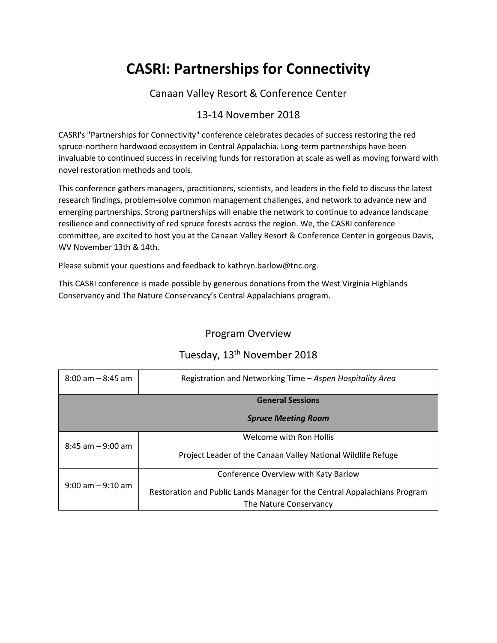## **CASRI: Partnerships for Connectivity**

#### Canaan Valley Resort & Conference Center

### 13-14 November 2018

CASRI's "Partnerships for Connectivity" conference celebrates decades of success restoring the red spruce-northern hardwood ecosystem in Central Appalachia. Long-term partnerships have been invaluable to continued success in receiving funds for restoration at scale as well as moving forward with novel restoration methods and tools.

This conference gathers managers, practitioners, scientists, and leaders in the field to discuss the latest research findings, problem-solve common management challenges, and network to advance new and emerging partnerships. Strong partnerships will enable the network to continue to advance landscape resilience and connectivity of red spruce forests across the region. We, the CASRI conference committee, are excited to host you at the Canaan Valley Resort & Conference Center in gorgeous Davis, WV November 13th & 14th.

Please submit your questions and feedback to kathryn.barlow@tnc.org.

This CASRI conference is made possible by generous donations from the West Virginia Highlands Conservancy and The Nature Conservancy's Central Appalachians program.

### Program Overview

| $8:00$ am $-8:45$ am | Registration and Networking Time - Aspen Hospitality Area                                           |
|----------------------|-----------------------------------------------------------------------------------------------------|
|                      | <b>General Sessions</b>                                                                             |
|                      | <b>Spruce Meeting Room</b>                                                                          |
| $8:45$ am $-9:00$ am | Welcome with Ron Hollis                                                                             |
|                      | Project Leader of the Canaan Valley National Wildlife Refuge                                        |
|                      | Conference Overview with Katy Barlow                                                                |
| $9:00$ am $-9:10$ am | Restoration and Public Lands Manager for the Central Appalachians Program<br>The Nature Conservancy |

## Tuesday, 13<sup>th</sup> November 2018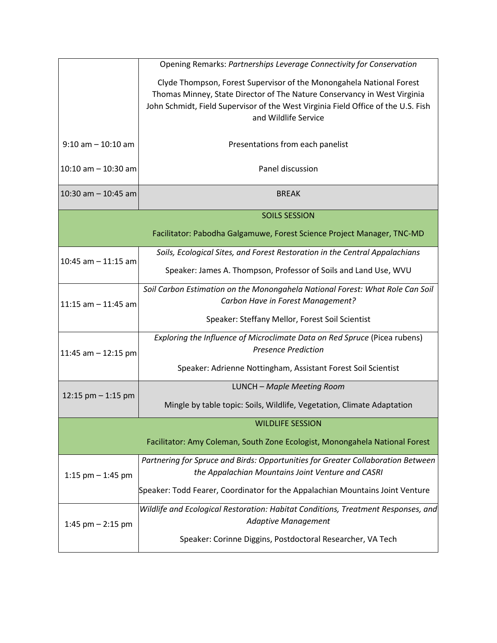|                         | Opening Remarks: Partnerships Leverage Connectivity for Conservation                                                                                                                                                                  |  |
|-------------------------|---------------------------------------------------------------------------------------------------------------------------------------------------------------------------------------------------------------------------------------|--|
|                         | Clyde Thompson, Forest Supervisor of the Monongahela National Forest<br>Thomas Minney, State Director of The Nature Conservancy in West Virginia<br>John Schmidt, Field Supervisor of the West Virginia Field Office of the U.S. Fish |  |
|                         | and Wildlife Service                                                                                                                                                                                                                  |  |
| $9:10$ am $-10:10$ am   | Presentations from each panelist                                                                                                                                                                                                      |  |
| 10:10 am $-$ 10:30 am   | Panel discussion                                                                                                                                                                                                                      |  |
| $10:30$ am $- 10:45$ am | <b>BREAK</b>                                                                                                                                                                                                                          |  |
|                         | <b>SOILS SESSION</b>                                                                                                                                                                                                                  |  |
|                         | Facilitator: Pabodha Galgamuwe, Forest Science Project Manager, TNC-MD                                                                                                                                                                |  |
| 10:45 am $-$ 11:15 am   | Soils, Ecological Sites, and Forest Restoration in the Central Appalachians                                                                                                                                                           |  |
|                         | Speaker: James A. Thompson, Professor of Soils and Land Use, WVU                                                                                                                                                                      |  |
|                         | Soil Carbon Estimation on the Monongahela National Forest: What Role Can Soil<br>Carbon Have in Forest Management?                                                                                                                    |  |
| 11:15 am $-$ 11:45 am   |                                                                                                                                                                                                                                       |  |
|                         | Speaker: Steffany Mellor, Forest Soil Scientist                                                                                                                                                                                       |  |
| 11:45 am $-$ 12:15 pm   | Exploring the Influence of Microclimate Data on Red Spruce (Picea rubens)<br><b>Presence Prediction</b>                                                                                                                               |  |
|                         | Speaker: Adrienne Nottingham, Assistant Forest Soil Scientist                                                                                                                                                                         |  |
| 12:15 $pm - 1:15$ pm    | LUNCH - Maple Meeting Room                                                                                                                                                                                                            |  |
|                         | Mingle by table topic: Soils, Wildlife, Vegetation, Climate Adaptation                                                                                                                                                                |  |
|                         | <b>WILDLIFE SESSION</b>                                                                                                                                                                                                               |  |
|                         | Facilitator: Amy Coleman, South Zone Ecologist, Monongahela National Forest                                                                                                                                                           |  |
| 1:15 pm $-$ 1:45 pm     | Partnering for Spruce and Birds: Opportunities for Greater Collaboration Between<br>the Appalachian Mountains Joint Venture and CASRI                                                                                                 |  |
|                         | Speaker: Todd Fearer, Coordinator for the Appalachian Mountains Joint Venture                                                                                                                                                         |  |
| 1:45 pm $-$ 2:15 pm     | Wildlife and Ecological Restoration: Habitat Conditions, Treatment Responses, and<br><b>Adaptive Management</b>                                                                                                                       |  |
|                         | Speaker: Corinne Diggins, Postdoctoral Researcher, VA Tech                                                                                                                                                                            |  |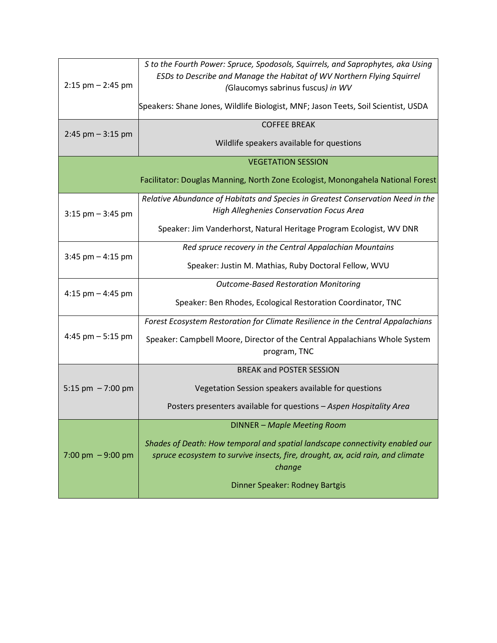| $2:15$ pm $- 2:45$ pm     | S to the Fourth Power: Spruce, Spodosols, Squirrels, and Saprophytes, aka Using<br>ESDs to Describe and Manage the Habitat of WV Northern Flying Squirrel<br>(Glaucomys sabrinus fuscus) in WV |  |
|---------------------------|------------------------------------------------------------------------------------------------------------------------------------------------------------------------------------------------|--|
|                           | Speakers: Shane Jones, Wildlife Biologist, MNF; Jason Teets, Soil Scientist, USDA                                                                                                              |  |
| $2:45$ pm $-3:15$ pm      | <b>COFFEE BREAK</b>                                                                                                                                                                            |  |
|                           | Wildlife speakers available for questions                                                                                                                                                      |  |
| <b>VEGETATION SESSION</b> |                                                                                                                                                                                                |  |
|                           | Facilitator: Douglas Manning, North Zone Ecologist, Monongahela National Forest                                                                                                                |  |
|                           | Relative Abundance of Habitats and Species in Greatest Conservation Need in the                                                                                                                |  |
| $3:15$ pm $-3:45$ pm      | High Alleghenies Conservation Focus Area                                                                                                                                                       |  |
|                           | Speaker: Jim Vanderhorst, Natural Heritage Program Ecologist, WV DNR                                                                                                                           |  |
| $3:45$ pm $-4:15$ pm      | Red spruce recovery in the Central Appalachian Mountains                                                                                                                                       |  |
|                           | Speaker: Justin M. Mathias, Ruby Doctoral Fellow, WVU                                                                                                                                          |  |
|                           | <b>Outcome-Based Restoration Monitoring</b>                                                                                                                                                    |  |
| 4:15 pm $-$ 4:45 pm       | Speaker: Ben Rhodes, Ecological Restoration Coordinator, TNC                                                                                                                                   |  |
|                           | Forest Ecosystem Restoration for Climate Resilience in the Central Appalachians                                                                                                                |  |
| 4:45 pm $-5:15$ pm        | Speaker: Campbell Moore, Director of the Central Appalachians Whole System<br>program, TNC                                                                                                     |  |
|                           | <b>BREAK and POSTER SESSION</b>                                                                                                                                                                |  |
| 5:15 pm $-7:00$ pm        | Vegetation Session speakers available for questions                                                                                                                                            |  |
|                           | Posters presenters available for questions - Aspen Hospitality Area                                                                                                                            |  |
|                           | <b>DINNER - Maple Meeting Room</b>                                                                                                                                                             |  |
| 7:00 pm $-9:00$ pm        | Shades of Death: How temporal and spatial landscape connectivity enabled our<br>spruce ecosystem to survive insects, fire, drought, ax, acid rain, and climate<br>change                       |  |
|                           | Dinner Speaker: Rodney Bartgis                                                                                                                                                                 |  |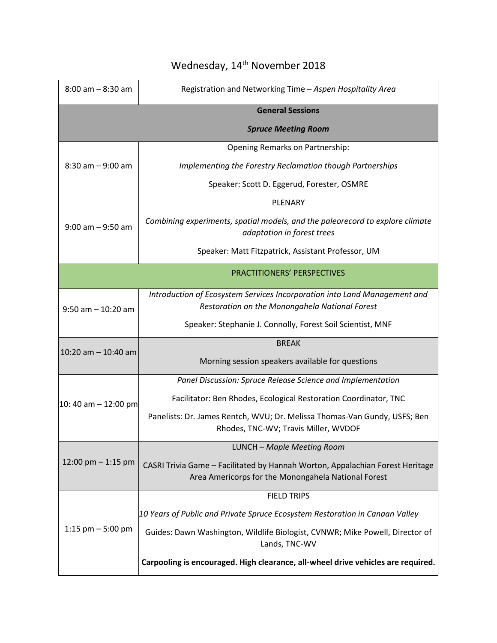| $8:00$ am $-8:30$ am    | Registration and Networking Time - Aspen Hospitality Area                                                                            |  |  |
|-------------------------|--------------------------------------------------------------------------------------------------------------------------------------|--|--|
| <b>General Sessions</b> |                                                                                                                                      |  |  |
|                         | <b>Spruce Meeting Room</b>                                                                                                           |  |  |
|                         | Opening Remarks on Partnership:                                                                                                      |  |  |
| $8:30$ am $-9:00$ am    | Implementing the Forestry Reclamation though Partnerships                                                                            |  |  |
|                         | Speaker: Scott D. Eggerud, Forester, OSMRE                                                                                           |  |  |
|                         | PLENARY                                                                                                                              |  |  |
| $9:00$ am $-9:50$ am    | Combining experiments, spatial models, and the paleorecord to explore climate<br>adaptation in forest trees                          |  |  |
|                         | Speaker: Matt Fitzpatrick, Assistant Professor, UM                                                                                   |  |  |
|                         | <b>PRACTITIONERS' PERSPECTIVES</b>                                                                                                   |  |  |
|                         | Introduction of Ecosystem Services Incorporation into Land Management and                                                            |  |  |
| $9:50$ am $-10:20$ am   | Restoration on the Monongahela National Forest                                                                                       |  |  |
|                         | Speaker: Stephanie J. Connolly, Forest Soil Scientist, MNF                                                                           |  |  |
| $10:20$ am $- 10:40$ am | <b>BREAK</b>                                                                                                                         |  |  |
|                         | Morning session speakers available for questions                                                                                     |  |  |
|                         | Panel Discussion: Spruce Release Science and Implementation                                                                          |  |  |
| 10: 40 am $-$ 12:00 pm  | Facilitator: Ben Rhodes, Ecological Restoration Coordinator, TNC                                                                     |  |  |
|                         | Panelists: Dr. James Rentch, WVU; Dr. Melissa Thomas-Van Gundy, USFS; Ben<br>Rhodes, TNC-WV; Travis Miller, WVDOF                    |  |  |
|                         | LUNCH - Maple Meeting Room                                                                                                           |  |  |
| 12:00 pm $-$ 1:15 pm    | CASRI Trivia Game - Facilitated by Hannah Worton, Appalachian Forest Heritage<br>Area Americorps for the Monongahela National Forest |  |  |
|                         | <b>FIELD TRIPS</b>                                                                                                                   |  |  |
| 1:15 $pm - 5:00$ pm     | 10 Years of Public and Private Spruce Ecosystem Restoration in Canaan Valley                                                         |  |  |
|                         | Guides: Dawn Washington, Wildlife Biologist, CVNWR; Mike Powell, Director of<br>Lands, TNC-WV                                        |  |  |
|                         | Carpooling is encouraged. High clearance, all-wheel drive vehicles are required.                                                     |  |  |

## Wednesday, 14<sup>th</sup> November 2018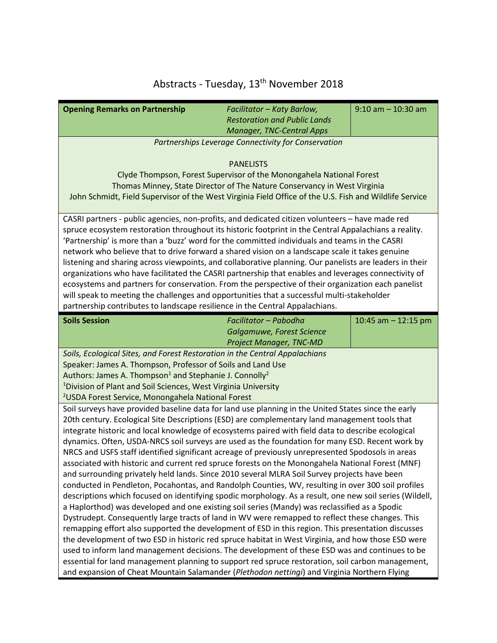# Abstracts - Tuesday, 13<sup>th</sup> November 2018

| <b>Opening Remarks on Partnership</b>                                                                                                                                                                 | Facilitator - Katy Barlow,                                               | $9:10$ am $-10:30$ am |  |
|-------------------------------------------------------------------------------------------------------------------------------------------------------------------------------------------------------|--------------------------------------------------------------------------|-----------------------|--|
|                                                                                                                                                                                                       | <b>Restoration and Public Lands</b>                                      |                       |  |
|                                                                                                                                                                                                       | <b>Manager, TNC-Central Apps</b>                                         |                       |  |
|                                                                                                                                                                                                       | Partnerships Leverage Connectivity for Conservation                      |                       |  |
|                                                                                                                                                                                                       |                                                                          |                       |  |
|                                                                                                                                                                                                       | <b>PANELISTS</b>                                                         |                       |  |
|                                                                                                                                                                                                       | Clyde Thompson, Forest Supervisor of the Monongahela National Forest     |                       |  |
|                                                                                                                                                                                                       | Thomas Minney, State Director of The Nature Conservancy in West Virginia |                       |  |
| John Schmidt, Field Supervisor of the West Virginia Field Office of the U.S. Fish and Wildlife Service                                                                                                |                                                                          |                       |  |
| CASRI partners - public agencies, non-profits, and dedicated citizen volunteers - have made red                                                                                                       |                                                                          |                       |  |
| spruce ecosystem restoration throughout its historic footprint in the Central Appalachians a reality.                                                                                                 |                                                                          |                       |  |
| 'Partnership' is more than a 'buzz' word for the committed individuals and teams in the CASRI                                                                                                         |                                                                          |                       |  |
| network who believe that to drive forward a shared vision on a landscape scale it takes genuine                                                                                                       |                                                                          |                       |  |
| listening and sharing across viewpoints, and collaborative planning. Our panelists are leaders in their                                                                                               |                                                                          |                       |  |
| organizations who have facilitated the CASRI partnership that enables and leverages connectivity of                                                                                                   |                                                                          |                       |  |
| ecosystems and partners for conservation. From the perspective of their organization each panelist                                                                                                    |                                                                          |                       |  |
| will speak to meeting the challenges and opportunities that a successful multi-stakeholder                                                                                                            |                                                                          |                       |  |
| partnership contributes to landscape resilience in the Central Appalachians.                                                                                                                          |                                                                          |                       |  |
| <b>Soils Session</b>                                                                                                                                                                                  | Facilitator - Pabodha                                                    | 10:45 am $-$ 12:15 pm |  |
|                                                                                                                                                                                                       | Galgamuwe, Forest Science                                                |                       |  |
|                                                                                                                                                                                                       | <b>Project Manager, TNC-MD</b>                                           |                       |  |
| Soils, Ecological Sites, and Forest Restoration in the Central Appalachians                                                                                                                           |                                                                          |                       |  |
| Speaker: James A. Thompson, Professor of Soils and Land Use                                                                                                                                           |                                                                          |                       |  |
| Authors: James A. Thompson <sup>1</sup> and Stephanie J. Connolly <sup>2</sup>                                                                                                                        |                                                                          |                       |  |
| <sup>1</sup> Division of Plant and Soil Sciences, West Virginia University                                                                                                                            |                                                                          |                       |  |
| <sup>2</sup> USDA Forest Service, Monongahela National Forest                                                                                                                                         |                                                                          |                       |  |
| Soil surveys have provided baseline data for land use planning in the United States since the early<br>20th century. Ecological Site Descriptions (ESD) are complementary land management tools that  |                                                                          |                       |  |
|                                                                                                                                                                                                       |                                                                          |                       |  |
| integrate historic and local knowledge of ecosystems paired with field data to describe ecological<br>dynamics. Often, USDA-NRCS soil surveys are used as the foundation for many ESD. Recent work by |                                                                          |                       |  |
| NRCS and USFS staff identified significant acreage of previously unrepresented Spodosols in areas                                                                                                     |                                                                          |                       |  |
| associated with historic and current red spruce forests on the Monongahela National Forest (MNF)                                                                                                      |                                                                          |                       |  |
| and surrounding privately held lands. Since 2010 several MLRA Soil Survey projects have been                                                                                                          |                                                                          |                       |  |
| conducted in Pendleton, Pocahontas, and Randolph Counties, WV, resulting in over 300 soil profiles                                                                                                    |                                                                          |                       |  |
| descriptions which focused on identifying spodic morphology. As a result, one new soil series (Wildell,                                                                                               |                                                                          |                       |  |
| a Haplorthod) was developed and one existing soil series (Mandy) was reclassified as a Spodic                                                                                                         |                                                                          |                       |  |
| Dystrudept. Consequently large tracts of land in WV were remapped to reflect these changes. This                                                                                                      |                                                                          |                       |  |
| remapping effort also supported the development of ESD in this region. This presentation discusses                                                                                                    |                                                                          |                       |  |
| the development of two ESD in historic red spruce habitat in West Virginia, and how those ESD were                                                                                                    |                                                                          |                       |  |
| used to inform land management decisions. The development of these ESD was and continues to be<br>essential for land management planning to support red spruce restoration, soil carbon management,   |                                                                          |                       |  |
|                                                                                                                                                                                                       |                                                                          |                       |  |
| and expansion of Cheat Mountain Salamander (Plethodon nettingi) and Virginia Northern Flying                                                                                                          |                                                                          |                       |  |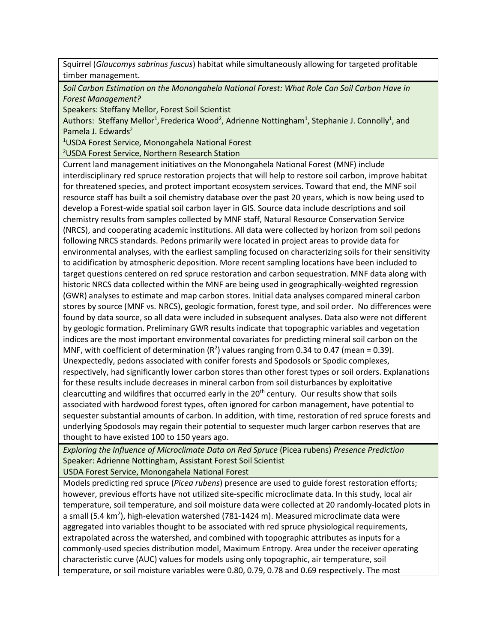Squirrel (*Glaucomys sabrinus fuscus*) habitat while simultaneously allowing for targeted profitable timber management.

*Soil Carbon Estimation on the Monongahela National Forest: What Role Can Soil Carbon Have in Forest Management?*

Speakers: Steffany Mellor, Forest Soil Scientist

Authors: Steffany Mellor<sup>1</sup>, Frederica Wood<sup>2</sup>, Adrienne Nottingham<sup>1</sup>, Stephanie J. Connolly<sup>1</sup>, and Pamela J. Edwards<sup>2</sup>

<sup>1</sup>USDA Forest Service, Monongahela National Forest

<sup>2</sup>USDA Forest Service, Northern Research Station

Current land management initiatives on the Monongahela National Forest (MNF) include interdisciplinary red spruce restoration projects that will help to restore soil carbon, improve habitat for threatened species, and protect important ecosystem services. Toward that end, the MNF soil resource staff has built a soil chemistry database over the past 20 years, which is now being used to develop a Forest-wide spatial soil carbon layer in GIS. Source data include descriptions and soil chemistry results from samples collected by MNF staff, Natural Resource Conservation Service (NRCS), and cooperating academic institutions. All data were collected by horizon from soil pedons following NRCS standards. Pedons primarily were located in project areas to provide data for environmental analyses, with the earliest sampling focused on characterizing soils for their sensitivity to acidification by atmospheric deposition. More recent sampling locations have been included to target questions centered on red spruce restoration and carbon sequestration. MNF data along with historic NRCS data collected within the MNF are being used in geographically-weighted regression (GWR) analyses to estimate and map carbon stores. Initial data analyses compared mineral carbon stores by source (MNF vs. NRCS), geologic formation, forest type, and soil order. No differences were found by data source, so all data were included in subsequent analyses. Data also were not different by geologic formation. Preliminary GWR results indicate that topographic variables and vegetation indices are the most important environmental covariates for predicting mineral soil carbon on the MNF, with coefficient of determination ( $R^2$ ) values ranging from 0.34 to 0.47 (mean = 0.39). Unexpectedly, pedons associated with conifer forests and Spodosols or Spodic complexes, respectively, had significantly lower carbon stores than other forest types or soil orders. Explanations for these results include decreases in mineral carbon from soil disturbances by exploitative clearcutting and wildfires that occurred early in the  $20<sup>th</sup>$  century. Our results show that soils associated with hardwood forest types, often ignored for carbon management, have potential to sequester substantial amounts of carbon. In addition, with time, restoration of red spruce forests and underlying Spodosols may regain their potential to sequester much larger carbon reserves that are thought to have existed 100 to 150 years ago.

*Exploring the Influence of Microclimate Data on Red Spruce* (Picea rubens) *Presence Prediction* Speaker: Adrienne Nottingham, Assistant Forest Soil Scientist

USDA Forest Service, Monongahela National Forest

Models predicting red spruce (*Picea rubens*) presence are used to guide forest restoration efforts; however, previous efforts have not utilized site-specific microclimate data. In this study, local air temperature, soil temperature, and soil moisture data were collected at 20 randomly-located plots in a small (5.4 km<sup>2</sup>), high-elevation watershed (781-1424 m). Measured microclimate data were aggregated into variables thought to be associated with red spruce physiological requirements, extrapolated across the watershed, and combined with topographic attributes as inputs for a commonly-used species distribution model, Maximum Entropy. Area under the receiver operating characteristic curve (AUC) values for models using only topographic, air temperature, soil temperature, or soil moisture variables were 0.80, 0.79, 0.78 and 0.69 respectively. The most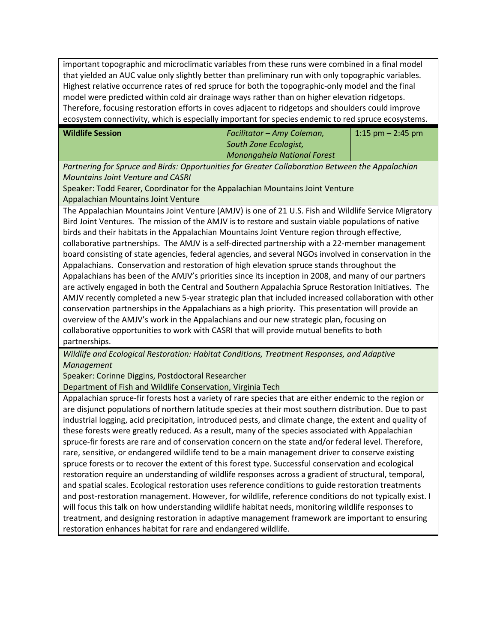important topographic and microclimatic variables from these runs were combined in a final model that yielded an AUC value only slightly better than preliminary run with only topographic variables. Highest relative occurrence rates of red spruce for both the topographic-only model and the final model were predicted within cold air drainage ways rather than on higher elevation ridgetops. Therefore, focusing restoration efforts in coves adjacent to ridgetops and shoulders could improve ecosystem connectivity, which is especially important for species endemic to red spruce ecosystems.

| <b>Wildlife Session</b> | Facilitator – Amy Coleman,         | $1:15$ pm $-2:45$ pm |
|-------------------------|------------------------------------|----------------------|
|                         | South Zone Ecologist,              |                      |
|                         | <b>Monongahela National Forest</b> |                      |

*Partnering for Spruce and Birds: Opportunities for Greater Collaboration Between the Appalachian Mountains Joint Venture and CASRI*

Speaker: Todd Fearer, Coordinator for the Appalachian Mountains Joint Venture Appalachian Mountains Joint Venture

The Appalachian Mountains Joint Venture (AMJV) is one of 21 U.S. Fish and Wildlife Service Migratory Bird Joint Ventures. The mission of the AMJV is to restore and sustain viable populations of native birds and their habitats in the Appalachian Mountains Joint Venture region through effective, collaborative partnerships. The AMJV is a self-directed partnership with a 22-member management board consisting of state agencies, federal agencies, and several NGOs involved in conservation in the Appalachians. Conservation and restoration of high elevation spruce stands throughout the Appalachians has been of the AMJV's priorities since its inception in 2008, and many of our partners are actively engaged in both the Central and Southern Appalachia Spruce Restoration Initiatives. The AMJV recently completed a new 5-year strategic plan that included increased collaboration with other conservation partnerships in the Appalachians as a high priority. This presentation will provide an overview of the AMJV's work in the Appalachians and our new strategic plan, focusing on collaborative opportunities to work with CASRI that will provide mutual benefits to both partnerships.

*Wildlife and Ecological Restoration: Habitat Conditions, Treatment Responses, and Adaptive Management*

Speaker: Corinne Diggins, Postdoctoral Researcher

Department of Fish and Wildlife Conservation, Virginia Tech

Appalachian spruce-fir forests host a variety of rare species that are either endemic to the region or are disjunct populations of northern latitude species at their most southern distribution. Due to past industrial logging, acid precipitation, introduced pests, and climate change, the extent and quality of these forests were greatly reduced. As a result, many of the species associated with Appalachian spruce-fir forests are rare and of conservation concern on the state and/or federal level. Therefore, rare, sensitive, or endangered wildlife tend to be a main management driver to conserve existing spruce forests or to recover the extent of this forest type. Successful conservation and ecological restoration require an understanding of wildlife responses across a gradient of structural, temporal, and spatial scales. Ecological restoration uses reference conditions to guide restoration treatments and post-restoration management. However, for wildlife, reference conditions do not typically exist. I will focus this talk on how understanding wildlife habitat needs, monitoring wildlife responses to treatment, and designing restoration in adaptive management framework are important to ensuring restoration enhances habitat for rare and endangered wildlife.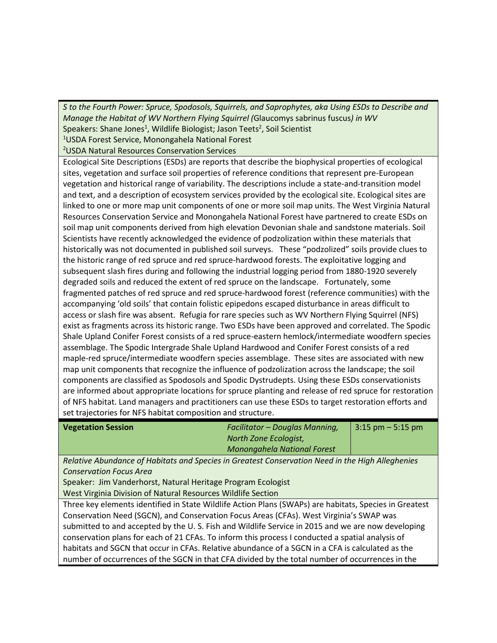*S to the Fourth Power: Spruce, Spodosols, Squirrels, and Saprophytes, aka Using ESDs to Describe and Manage the Habitat of WV Northern Flying Squirrel (*Glaucomys sabrinus fuscus*) in WV* Speakers: Shane Jones<sup>1</sup>, Wildlife Biologist; Jason Teets<sup>2</sup>, Soil Scientist <sup>1</sup>USDA Forest Service, Monongahela National Forest

<sup>2</sup>USDA Natural Resources Conservation Services

Ecological Site Descriptions (ESDs) are reports that describe the biophysical properties of ecological sites, vegetation and surface soil properties of reference conditions that represent pre-European vegetation and historical range of variability. The descriptions include a state-and-transition model and text, and a description of ecosystem services provided by the ecological site. Ecological sites are linked to one or more map unit components of one or more soil map units. The West Virginia Natural Resources Conservation Service and Monongahela National Forest have partnered to create ESDs on soil map unit components derived from high elevation Devonian shale and sandstone materials. Soil Scientists have recently acknowledged the evidence of podzolization within these materials that historically was not documented in published soil surveys. These "podzolized" soils provide clues to the historic range of red spruce and red spruce-hardwood forests. The exploitative logging and subsequent slash fires during and following the industrial logging period from 1880-1920 severely degraded soils and reduced the extent of red spruce on the landscape. Fortunately, some fragmented patches of red spruce and red spruce-hardwood forest (reference communities) with the accompanying 'old soils' that contain folistic epipedons escaped disturbance in areas difficult to access or slash fire was absent. Refugia for rare species such as WV Northern Flying Squirrel (NFS) exist as fragments across its historic range. Two ESDs have been approved and correlated. The Spodic Shale Upland Conifer Forest consists of a red spruce-eastern hemlock/intermediate woodfern species assemblage. The Spodic Intergrade Shale Upland Hardwood and Conifer Forest consists of a red maple-red spruce/intermediate woodfern species assemblage. These sites are associated with new map unit components that recognize the influence of podzolization across the landscape; the soil components are classified as Spodosols and Spodic Dystrudepts. Using these ESDs conservationists are informed about appropriate locations for spruce planting and release of red spruce for restoration of NFS habitat. Land managers and practitioners can use these ESDs to target restoration efforts and set trajectories for NFS habitat composition and structure.

| <b>Vegetation Session</b> | <b>Facilitator - Douglas Manning,</b><br>$13:15 \text{ pm} - 5:15 \text{ pm}$                                                                                                                                                                                                                                                                                                                                                                                |
|---------------------------|--------------------------------------------------------------------------------------------------------------------------------------------------------------------------------------------------------------------------------------------------------------------------------------------------------------------------------------------------------------------------------------------------------------------------------------------------------------|
|                           | North Zone Ecologist,                                                                                                                                                                                                                                                                                                                                                                                                                                        |
|                           | Monongahela National Forest                                                                                                                                                                                                                                                                                                                                                                                                                                  |
| .<br>$-1$                 | $\mathbf{a} \cdot \mathbf{b} = \mathbf{a} \cdot \mathbf{b} + \mathbf{b} \cdot \mathbf{c} + \mathbf{b} \cdot \mathbf{c} + \mathbf{b} \cdot \mathbf{c} + \mathbf{c} \cdot \mathbf{c} + \mathbf{c} \cdot \mathbf{c} + \mathbf{c} \cdot \mathbf{c} + \mathbf{c} \cdot \mathbf{c} + \mathbf{c} \cdot \mathbf{c} + \mathbf{c} \cdot \mathbf{c} + \mathbf{c} \cdot \mathbf{c} + \mathbf{c} \cdot \mathbf{c} + \mathbf{c} \cdot \mathbf{c} + \mathbf{c} \cdot \math$ |

*Relative Abundance of Habitats and Species in Greatest Conservation Need in the High Alleghenies Conservation Focus Area*

Speaker: Jim Vanderhorst, Natural Heritage Program Ecologist West Virginia Division of Natural Resources Wildlife Section

Three key elements identified in State Wildlife Action Plans (SWAPs) are habitats, Species in Greatest Conservation Need (SGCN), and Conservation Focus Areas (CFAs). West Virginia's SWAP was submitted to and accepted by the U. S. Fish and Wildlife Service in 2015 and we are now developing conservation plans for each of 21 CFAs. To inform this process I conducted a spatial analysis of habitats and SGCN that occur in CFAs. Relative abundance of a SGCN in a CFA is calculated as the number of occurrences of the SGCN in that CFA divided by the total number of occurrences in the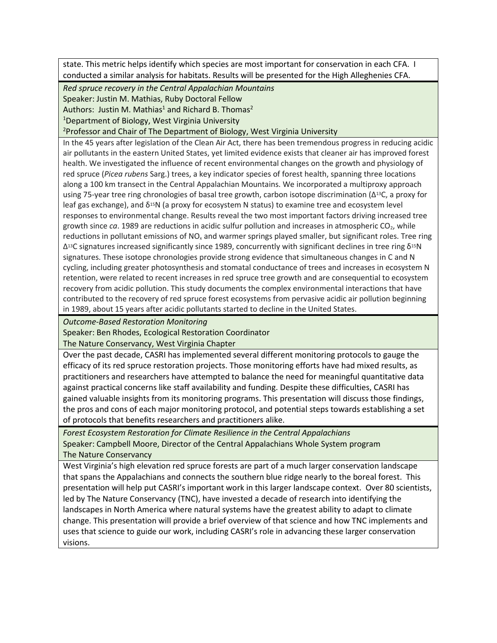state. This metric helps identify which species are most important for conservation in each CFA. I conducted a similar analysis for habitats. Results will be presented for the High Alleghenies CFA.

*Red spruce recovery in the Central Appalachian Mountains*

Speaker: Justin M. Mathias, Ruby Doctoral Fellow

Authors: Justin M. Mathias<sup>1</sup> and Richard B. Thomas<sup>2</sup>

<sup>1</sup>Department of Biology, West Virginia University

<sup>2</sup>Professor and Chair of The Department of Biology, West Virginia University

In the 45 years after legislation of the Clean Air Act, there has been tremendous progress in reducing acidic air pollutants in the eastern United States, yet limited evidence exists that cleaner air has improved forest health. We investigated the influence of recent environmental changes on the growth and physiology of red spruce (*Picea rubens* Sarg.) trees, a key indicator species of forest health, spanning three locations along a 100 km transect in the Central Appalachian Mountains. We incorporated a multiproxy approach using 75‐year tree ring chronologies of basal tree growth, carbon isotope discrimination (∆13C, a proxy for leaf gas exchange), and δ<sup>15</sup>N (a proxy for ecosystem N status) to examine tree and ecosystem level responses to environmental change. Results reveal the two most important factors driving increased tree growth since *ca*. 1989 are reductions in acidic sulfur pollution and increases in atmospheric CO<sub>2</sub>, while reductions in pollutant emissions of  $NO<sub>x</sub>$  and warmer springs played smaller, but significant roles. Tree ring  $Δ<sup>13</sup>C$  signatures increased significantly since 1989, concurrently with significant declines in tree ring δ<sup>15</sup>N signatures. These isotope chronologies provide strong evidence that simultaneous changes in C and N cycling, including greater photosynthesis and stomatal conductance of trees and increases in ecosystem N retention, were related to recent increases in red spruce tree growth and are consequential to ecosystem recovery from acidic pollution. This study documents the complex environmental interactions that have contributed to the recovery of red spruce forest ecosystems from pervasive acidic air pollution beginning in 1989, about 15 years after acidic pollutants started to decline in the United States.

*Outcome-Based Restoration Monitoring*

Speaker: Ben Rhodes, Ecological Restoration Coordinator

The Nature Conservancy, West Virginia Chapter

Over the past decade, CASRI has implemented several different monitoring protocols to gauge the efficacy of its red spruce restoration projects. Those monitoring efforts have had mixed results, as practitioners and researchers have attempted to balance the need for meaningful quantitative data against practical concerns like staff availability and funding. Despite these difficulties, CASRI has gained valuable insights from its monitoring programs. This presentation will discuss those findings, the pros and cons of each major monitoring protocol, and potential steps towards establishing a set of protocols that benefits researchers and practitioners alike.

*Forest Ecosystem Restoration for Climate Resilience in the Central Appalachians* Speaker: Campbell Moore, Director of the Central Appalachians Whole System program The Nature Conservancy

West Virginia's high elevation red spruce forests are part of a much larger conservation landscape that spans the Appalachians and connects the southern blue ridge nearly to the boreal forest. This presentation will help put CASRI's important work in this larger landscape context. Over 80 scientists, led by The Nature Conservancy (TNC), have invested a decade of research into identifying the landscapes in North America where natural systems have the greatest ability to adapt to climate change. This presentation will provide a brief overview of that science and how TNC implements and uses that science to guide our work, including CASRI's role in advancing these larger conservation visions.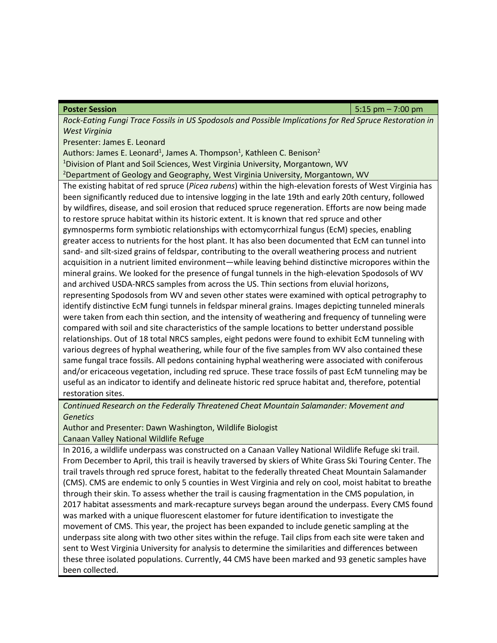**Poster Session** 5:15 pm – 7:00 pm

*Rock-Eating Fungi Trace Fossils in US Spodosols and Possible Implications for Red Spruce Restoration in West Virginia*

Presenter: James E. Leonard

Authors: James E. Leonard<sup>1</sup>, James A. Thompson<sup>1</sup>, Kathleen C. Benison<sup>2</sup>

<sup>1</sup>Division of Plant and Soil Sciences, West Virginia University, Morgantown, WV

<sup>2</sup>Department of Geology and Geography, West Virginia University, Morgantown, WV

The existing habitat of red spruce (*Picea rubens*) within the high-elevation forests of West Virginia has been significantly reduced due to intensive logging in the late 19th and early 20th century, followed by wildfires, disease, and soil erosion that reduced spruce regeneration. Efforts are now being made to restore spruce habitat within its historic extent. It is known that red spruce and other gymnosperms form symbiotic relationships with ectomycorrhizal fungus (EcM) species, enabling greater access to nutrients for the host plant. It has also been documented that EcM can tunnel into sand- and silt-sized grains of feldspar, contributing to the overall weathering process and nutrient acquisition in a nutrient limited environment—while leaving behind distinctive micropores within the mineral grains. We looked for the presence of fungal tunnels in the high-elevation Spodosols of WV and archived USDA-NRCS samples from across the US. Thin sections from eluvial horizons, representing Spodosols from WV and seven other states were examined with optical petrography to identify distinctive EcM fungi tunnels in feldspar mineral grains. Images depicting tunneled minerals were taken from each thin section, and the intensity of weathering and frequency of tunneling were compared with soil and site characteristics of the sample locations to better understand possible relationships. Out of 18 total NRCS samples, eight pedons were found to exhibit EcM tunneling with various degrees of hyphal weathering, while four of the five samples from WV also contained these same fungal trace fossils. All pedons containing hyphal weathering were associated with coniferous

and/or ericaceous vegetation, including red spruce. These trace fossils of past EcM tunneling may be useful as an indicator to identify and delineate historic red spruce habitat and, therefore, potential restoration sites.

*Continued Research on the Federally Threatened Cheat Mountain Salamander: Movement and Genetics*

Author and Presenter: Dawn Washington, Wildlife Biologist

Canaan Valley National Wildlife Refuge

In 2016, a wildlife underpass was constructed on a Canaan Valley National Wildlife Refuge ski trail. From December to April, this trail is heavily traversed by skiers of White Grass Ski Touring Center. The trail travels through red spruce forest, habitat to the federally threated Cheat Mountain Salamander (CMS). CMS are endemic to only 5 counties in West Virginia and rely on cool, moist habitat to breathe through their skin. To assess whether the trail is causing fragmentation in the CMS population, in 2017 habitat assessments and mark-recapture surveys began around the underpass. Every CMS found was marked with a unique fluorescent elastomer for future identification to investigate the movement of CMS. This year, the project has been expanded to include genetic sampling at the underpass site along with two other sites within the refuge. Tail clips from each site were taken and sent to West Virginia University for analysis to determine the similarities and differences between these three isolated populations. Currently, 44 CMS have been marked and 93 genetic samples have been collected.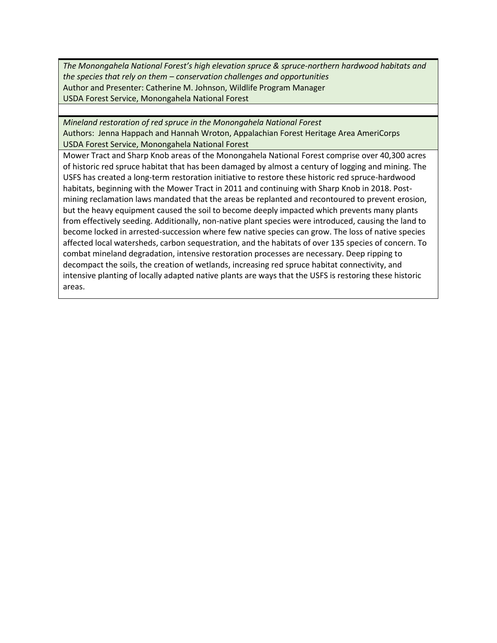*The Monongahela National Forest's high elevation spruce & spruce-northern hardwood habitats and the species that rely on them – conservation challenges and opportunities* Author and Presenter: Catherine M. Johnson, Wildlife Program Manager USDA Forest Service, Monongahela National Forest

*Mineland restoration of red spruce in the Monongahela National Forest* Authors: Jenna Happach and Hannah Wroton, Appalachian Forest Heritage Area AmeriCorps USDA Forest Service, Monongahela National Forest

Mower Tract and Sharp Knob areas of the Monongahela National Forest comprise over 40,300 acres of historic red spruce habitat that has been damaged by almost a century of logging and mining. The USFS has created a long-term restoration initiative to restore these historic red spruce-hardwood habitats, beginning with the Mower Tract in 2011 and continuing with Sharp Knob in 2018. Postmining reclamation laws mandated that the areas be replanted and recontoured to prevent erosion, but the heavy equipment caused the soil to become deeply impacted which prevents many plants from effectively seeding. Additionally, non-native plant species were introduced, causing the land to become locked in arrested-succession where few native species can grow. The loss of native species affected local watersheds, carbon sequestration, and the habitats of over 135 species of concern. To combat mineland degradation, intensive restoration processes are necessary. Deep ripping to decompact the soils, the creation of wetlands, increasing red spruce habitat connectivity, and intensive planting of locally adapted native plants are ways that the USFS is restoring these historic areas.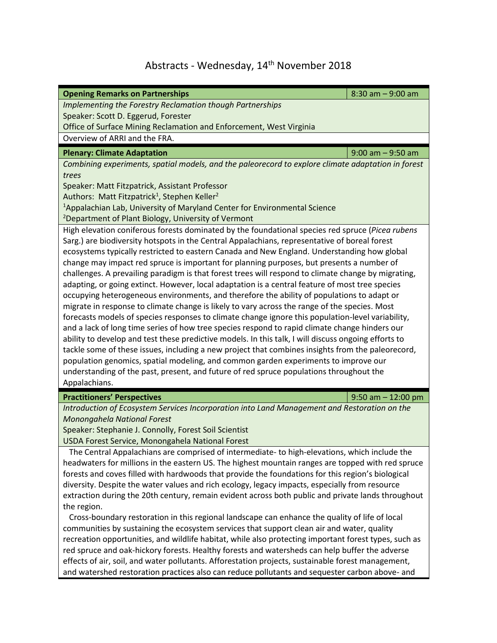## Abstracts - Wednesday, 14<sup>th</sup> November 2018

| <b>Opening Remarks on Partnerships</b>                                                                                                                                                             | $8:30$ am $-9:00$ am  |  |  |
|----------------------------------------------------------------------------------------------------------------------------------------------------------------------------------------------------|-----------------------|--|--|
| Implementing the Forestry Reclamation though Partnerships                                                                                                                                          |                       |  |  |
| Speaker: Scott D. Eggerud, Forester                                                                                                                                                                |                       |  |  |
| Office of Surface Mining Reclamation and Enforcement, West Virginia                                                                                                                                |                       |  |  |
| Overview of ARRI and the FRA.                                                                                                                                                                      |                       |  |  |
| <b>Plenary: Climate Adaptation</b>                                                                                                                                                                 | $9:00$ am $-9:50$ am  |  |  |
| Combining experiments, spatial models, and the paleorecord to explore climate adaptation in forest                                                                                                 |                       |  |  |
| trees                                                                                                                                                                                              |                       |  |  |
| Speaker: Matt Fitzpatrick, Assistant Professor                                                                                                                                                     |                       |  |  |
| Authors: Matt Fitzpatrick <sup>1</sup> , Stephen Keller <sup>2</sup>                                                                                                                               |                       |  |  |
| <sup>1</sup> Appalachian Lab, University of Maryland Center for Environmental Science                                                                                                              |                       |  |  |
| <sup>2</sup> Department of Plant Biology, University of Vermont                                                                                                                                    |                       |  |  |
| High elevation coniferous forests dominated by the foundational species red spruce (Picea rubens                                                                                                   |                       |  |  |
| Sarg.) are biodiversity hotspots in the Central Appalachians, representative of boreal forest                                                                                                      |                       |  |  |
| ecosystems typically restricted to eastern Canada and New England. Understanding how global                                                                                                        |                       |  |  |
| change may impact red spruce is important for planning purposes, but presents a number of                                                                                                          |                       |  |  |
| challenges. A prevailing paradigm is that forest trees will respond to climate change by migrating,                                                                                                |                       |  |  |
| adapting, or going extinct. However, local adaptation is a central feature of most tree species                                                                                                    |                       |  |  |
| occupying heterogeneous environments, and therefore the ability of populations to adapt or                                                                                                         |                       |  |  |
| migrate in response to climate change is likely to vary across the range of the species. Most<br>forecasts models of species responses to climate change ignore this population-level variability, |                       |  |  |
| and a lack of long time series of how tree species respond to rapid climate change hinders our                                                                                                     |                       |  |  |
| ability to develop and test these predictive models. In this talk, I will discuss ongoing efforts to                                                                                               |                       |  |  |
| tackle some of these issues, including a new project that combines insights from the paleorecord,                                                                                                  |                       |  |  |
| population genomics, spatial modeling, and common garden experiments to improve our                                                                                                                |                       |  |  |
| understanding of the past, present, and future of red spruce populations throughout the                                                                                                            |                       |  |  |
| Appalachians.                                                                                                                                                                                      |                       |  |  |
| <b>Practitioners' Perspectives</b>                                                                                                                                                                 | $9:50$ am $-12:00$ pm |  |  |
| Introduction of Ecosystem Services Incorporation into Land Management and Restoration on the                                                                                                       |                       |  |  |
| Monongahela National Forest                                                                                                                                                                        |                       |  |  |
| Speaker: Stephanie J. Connolly, Forest Soil Scientist                                                                                                                                              |                       |  |  |
| USDA Forest Service, Monongahela National Forest                                                                                                                                                   |                       |  |  |
| The Central Appalachians are comprised of intermediate- to high-elevations, which include the                                                                                                      |                       |  |  |
| headwaters for millions in the eastern US. The highest mountain ranges are topped with red spruce                                                                                                  |                       |  |  |
| forests and coves filled with hardwoods that provide the foundations for this region's biological                                                                                                  |                       |  |  |
| diversity. Despite the water values and rich ecology, legacy impacts, especially from resource                                                                                                     |                       |  |  |
| extraction during the 20th century, remain evident across both public and private lands throughout                                                                                                 |                       |  |  |
| the region.                                                                                                                                                                                        |                       |  |  |
| Cross-boundary restoration in this regional landscape can enhance the quality of life of local                                                                                                     |                       |  |  |
| communities by sustaining the ecosystem services that support clean air and water, quality                                                                                                         |                       |  |  |
| recreation opportunities, and wildlife habitat, while also protecting important forest types, such as                                                                                              |                       |  |  |
| red spruce and oak-hickory forests. Healthy forests and watersheds can help buffer the adverse                                                                                                     |                       |  |  |
| effects of air, soil, and water pollutants. Afforestation projects, sustainable forest management,                                                                                                 |                       |  |  |
| and watershed restoration practices also can reduce pollutants and sequester carbon above- and                                                                                                     |                       |  |  |